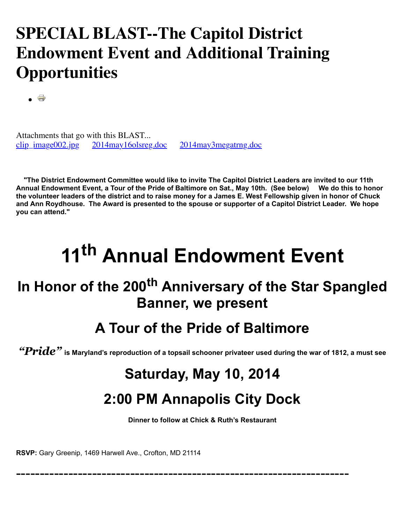### **SPECIAL BLAST--The Capitol District Endowment Event and Additional Training Opportunities**

 $\bullet$   $\rightarrow$ 

Attachments that go with this BLAST...<br>clip\_image002.jpg 2014may16olsreg [2014may16olsreg.doc](http://www.thecapitoldistrict.org/images/The%20BLAST/April_2014/2014may16olsreg.doc) [2014may3megatrng.doc](http://www.thecapitoldistrict.org/images/The%20BLAST/April_2014/2014may3megatrng.doc)

 **"The District Endowment Committee would like to invite The Capitol District Leaders are invited to our 11th Annual Endowment Event, a Tour of the Pride of Baltimore on Sat., May 10th. (See below) We do this to honor the volunteer leaders of the district and to raise money for a James E. West Fellowship given in honor of Chuck and Ann Roydhouse. The Award is presented to the spouse or supporter of a Capitol District Leader. We hope you can attend."**

# **11th Annual Endowment Event**

#### **In Honor of the 200th Anniversary of the Star Spangled Banner, we present**

#### **A Tour of the Pride of Baltimore**

*"Pride"* **is Maryland's reproduction of a topsail schooner privateer used during the war of 1812, a must see**

## **Saturday, May 10, 2014**

#### **2:00 PM Annapolis City Dock**

**Dinner to follow at Chick & Ruth's Restaurant**

----------------------------------------------------------------------

**RSVP:** Gary Greenip, 1469 Harwell Ave., Crofton, MD 21114